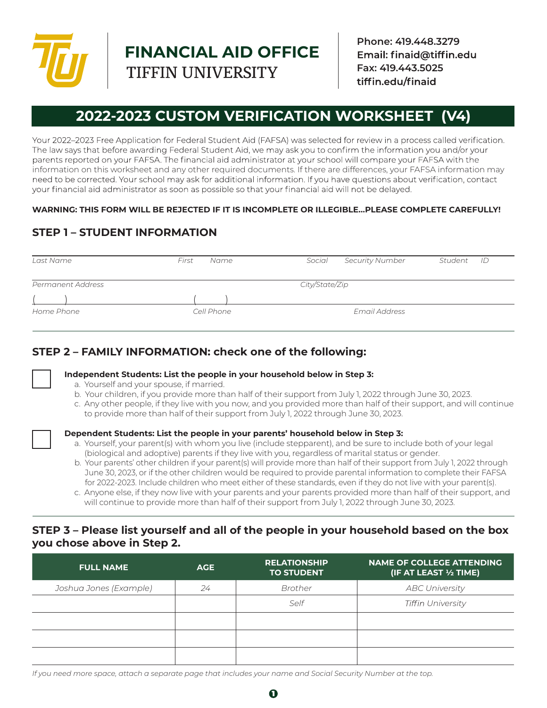

**FINANCIAL AID OFFICE** TIFFIN UNIVERSITY

**Phone: 419.448.3279** Email: finaid@tiffin.edu **Fax: 419.443.5025** tiffin.edu/finaid

# **2022-2023 CUSTOM VERIFICATION WORKSHEET (V4)**

Your 2022-2023 Free Application for Federal Student Aid (FAFSA) was selected for review in a process called verification. The law says that before awarding Federal Student Aid, we may ask you to confirm the information you and/or your parents reported on your FAFSA. The financial aid administrator at your school will compare your FAFSA with the information on this worksheet and any other required documents. If there are differences, your FAFSA information may need to be corrected. Your school may ask for additional information. If you have questions about verification, contact your financial aid administrator as soon as possible so that your financial aid will not be delayed.

#### **WARNING: THIS FORM WILL BE REJECTED IF IT IS INCOMPLETE OR ILLEGIBLE…PLEASE COMPLETE CAREFULLY!**

# **STEP 1 – STUDENT INFORMATION**

| Last Name         | First<br>Name | Social<br><b>Security Number</b> | Student<br>- ID |
|-------------------|---------------|----------------------------------|-----------------|
|                   |               |                                  |                 |
| Permanent Address |               | City/State/Zip                   |                 |
|                   |               |                                  |                 |
| Home Phone        | Cell Phone    | Email Address                    |                 |

## **STEP 2 – FAMILY INFORMATION: check one of the following:**



**Independent Students: List the people in your household below in Step 3:**

- a. Yourself and your spouse, if married.
- b. Your children, if you provide more than half of their support from July 1, 2022 through June 30, 2023.
- c. Any other people, if they live with you now, and you provided more than half of their support, and will continue to provide more than half of their support from July 1, 2022 through June 30, 2023.



#### **Dependent Students: List the people in your parents' household below in Step 3:**

- a. Yourself, your parent(s) with whom you live (include stepparent), and be sure to include both of your legal (biological and adoptive) parents if they live with you, regardless of marital status or gender.
- b. Your parents' other children if your parent(s) will provide more than half of their support from July 1, 2022 through June 30, 2023, or if the other children would be required to provide parental information to complete their FAFSA for 2022-2023. Include children who meet either of these standards, even if they do not live with your parent(s).
- c. Anyone else, if they now live with your parents and your parents provided more than half of their support, and will continue to provide more than half of their support from July 1, 2022 through June 30, 2023.

#### **STEP 3 – Please list yourself and all of the people in your household based on the box you chose above in Step 2.**

| <b>FULL NAME</b>       | <b>AGE</b> | <b>RELATIONSHIP</b><br><b>TO STUDENT</b> | <b>NAME OF COLLEGE ATTENDING</b><br>(IF AT LEAST 1/2 TIME) |
|------------------------|------------|------------------------------------------|------------------------------------------------------------|
| Joshua Jones (Example) | 24         | Brother                                  | <b>ABC University</b>                                      |
|                        |            | Self                                     | <b>Tiffin University</b>                                   |
|                        |            |                                          |                                                            |
|                        |            |                                          |                                                            |
|                        |            |                                          |                                                            |

*If you need more space, attach a separate page that includes your name and Social Security Number at the top.*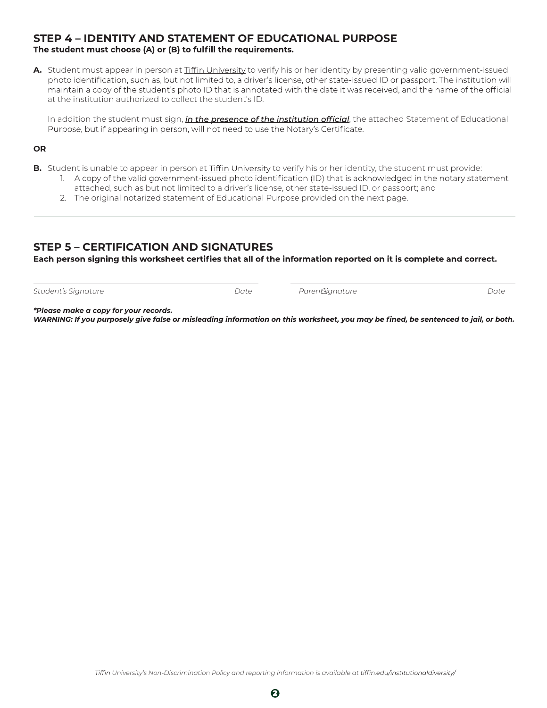# **STEP 4 – IDENTITY AND STATEMENT OF EDUCATIONAL PURPOSE**<br>The student must choose (A) or (B) to fulfill the requirements.

A. Student must appear in person at Tiffin University to verify his or her identity by presenting valid government-issued photo identification, such as, but not limited to, a driver's license, other state-issued ID or passport. The institution will maintain a copy of the student's photo ID that is annotated with the date it was received, and the name of the official at the institution authorized to collect the student's ID.

In addition the student must sign, *in the presence of the institution official*, the attached Statement of Educational Purpose, but if appearing in person, will not need to use the Notary's Certificate.

#### **OR**

 $\overline{a}$ 

- **B.** Student is unable to appear in person at *Liffin University* to verify his or her identity, the student must provide:
	- 1. A copy of the valid government-issued photo identification (ID) that is acknowledged in the notary statement attached, such as but not limited to a driver's license, other state-issued ID, or passport; and
	- 2. The original notarized statement of Educational Purpose provided on the next page.

## **STEP 5 – CERTIFICATION AND SIGNATURES**

Each person signing this worksheet certifies that all of the information reported on it is complete and correct.

*Student's Signature Date Parent's Signature Date* 

*\*Please make a copy for your records.*